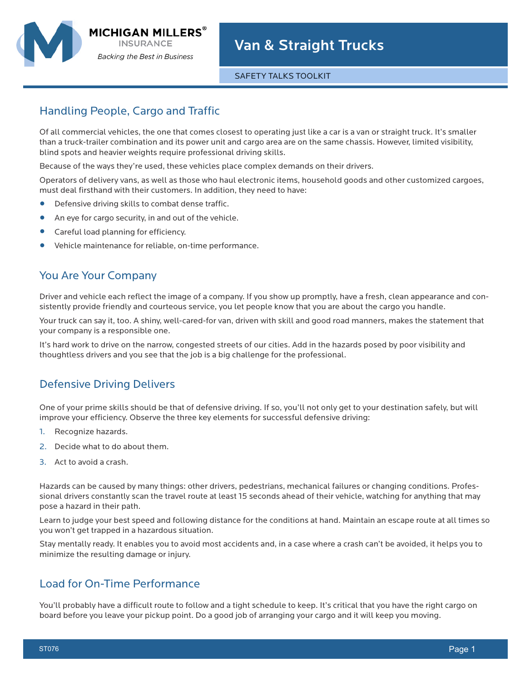

#### SAFETY TALKS TOOLKIT

# Handling People, Cargo and Traffic

Of all commercial vehicles, the one that comes closest to operating just like a car is a van or straight truck. It's smaller than a truck-trailer combination and its power unit and cargo area are on the same chassis. However, limited visibility, blind spots and heavier weights require professional driving skills.

Because of the ways they're used, these vehicles place complex demands on their drivers.

Operators of delivery vans, as well as those who haul electronic items, household goods and other customized cargoes, must deal firsthand with their customers. In addition, they need to have:

- **•** Defensive driving skills to combat dense traffic.
- **•** An eye for cargo security, in and out of the vehicle.
- **•** Careful load planning for efficiency.
- **•** Vehicle maintenance for reliable, on-time performance.

### You Are Your Company

Driver and vehicle each reflect the image of a company. If you show up promptly, have a fresh, clean appearance and consistently provide friendly and courteous service, you let people know that you are about the cargo you handle.

Your truck can say it, too. A shiny, well-cared-for van, driven with skill and good road manners, makes the statement that your company is a responsible one.

It's hard work to drive on the narrow, congested streets of our cities. Add in the hazards posed by poor visibility and thoughtless drivers and you see that the job is a big challenge for the professional.

### Defensive Driving Delivers

One of your prime skills should be that of defensive driving. If so, you'll not only get to your destination safely, but will improve your efficiency. Observe the three key elements for successful defensive driving:

- 1. Recognize hazards.
- 2. Decide what to do about them.
- 3. Act to avoid a crash.

Hazards can be caused by many things: other drivers, pedestrians, mechanical failures or changing conditions. Professional drivers constantly scan the travel route at least 15 seconds ahead of their vehicle, watching for anything that may pose a hazard in their path.

Learn to judge your best speed and following distance for the conditions at hand. Maintain an escape route at all times so you won't get trapped in a hazardous situation.

Stay mentally ready. It enables you to avoid most accidents and, in a case where a crash can't be avoided, it helps you to minimize the resulting damage or injury.

## Load for On-Time Performance

You'll probably have a difficult route to follow and a tight schedule to keep. It's critical that you have the right cargo on board before you leave your pickup point. Do a good job of arranging your cargo and it will keep you moving.